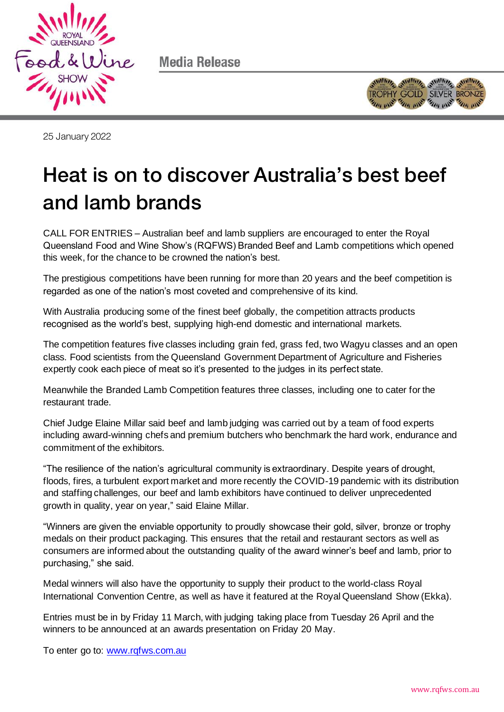

Media Release



25 January 2022

## Heat is on to discover Australia's best beef and lamb brands and lambar brands brands brands brands<br>Lambar brands brands brands brands brands brands brands brands brands brands brands brands brands brands brand

CALL FOR ENTRIES – Australian beef and lamb suppliers are encouraged to enter the Royal Queensland Food and Wine Show's (RQFWS) Branded Beef and Lamb competitions which opened this week, for the chance to be crowned the nation's best.

The prestigious competitions have been running for more than 20 years and the beef competition is regarded as one of the nation's most coveted and comprehensive of its kind.

With Australia producing some of the finest beef globally, the competition attracts products recognised as the world's best, supplying high-end domestic and international markets.

The competition features five classes including grain fed, grass fed, two Wagyu classes and an open class. Food scientists from the Queensland Government Department of Agriculture and Fisheries expertly cook each piece of meat so it's presented to the judges in its perfect state.

Meanwhile the Branded Lamb Competition features three classes, including one to cater for the restaurant trade.

Chief Judge Elaine Millar said beef and lamb judging was carried out by a team of food experts including award-winning chefs and premium butchers who benchmark the hard work, endurance and commitment of the exhibitors.

"The resilience of the nation's agricultural community is extraordinary. Despite years of drought, floods, fires, a turbulent export market and more recently the COVID-19 pandemic with its distribution and staffing challenges, our beef and lamb exhibitors have continued to deliver unprecedented growth in quality, year on year," said Elaine Millar.

"Winners are given the enviable opportunity to proudly showcase their gold, silver, bronze or trophy medals on their product packaging. This ensures that the retail and restaurant sectors as well as consumers are informed about the outstanding quality of the award winner's beef and lamb, prior to purchasing," she said.

Medal winners will also have the opportunity to supply their product to the world-class Royal International Convention Centre, as well as have it featured at the Royal Queensland Show (Ekka).

Entries must be in by Friday 11 March, with judging taking place from Tuesday 26 April and the winners to be announced at an awards presentation on Friday 20 May.

To enter go to: [www.rqfws.com.au](http://www.rqfws.com.au/)